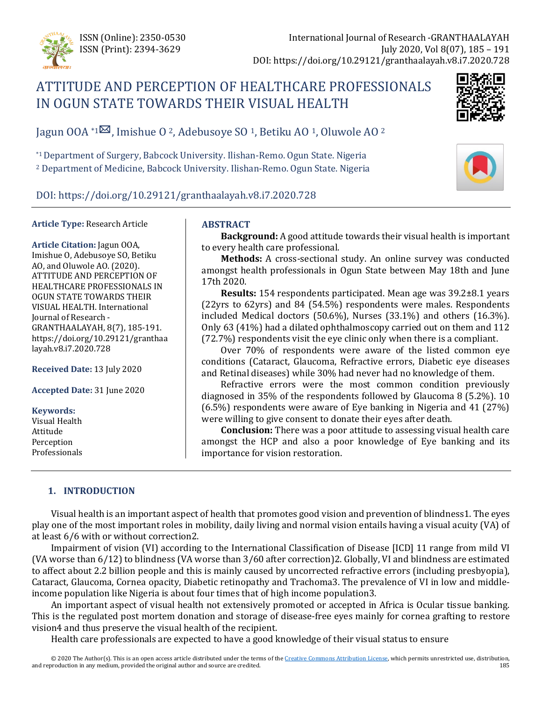

# ATTITUDE AND PERCEPTION OF HEALTHCARE PROFESSIONALS IN OGUN STATE TOWARDS THEIR VISUAL HEALTH



Jagun OOA  $*1^{\boxtimes}$  $*1^{\boxtimes}$  $*1^{\boxtimes}$ , Imishue O <sup>2</sup>, Adebusoye SO <sup>1</sup>, Betiku AO <sup>1</sup>, Oluwole AO <sup>2</sup>

\*1Department of Surgery, Babcock University. Ilishan-Remo. Ogun State. Nigeria <sup>2</sup> Department of Medicine, Babcock University. Ilishan-Remo. Ogun State. Nigeria



DOI: https://doi.org/10.29121/granthaalayah.v8.i7.2020.728

### **Article Type:** Research Article

**Article Citation:** Jagun OOA, Imishue O, Adebusoye SO, Betiku AO, and Oluwole AO. (2020). ATTITUDE AND PERCEPTION OF HEALTHCARE PROFESSIONALS IN OGUN STATE TOWARDS THEIR VISUAL HEALTH. International Journal of Research - GRANTHAALAYAH, 8(7), 185-191. https://doi.org/10.29121/granthaa layah.v8.i7.2020.728

**Received Date:** 13 July 2020

**Accepted Date:** 31 June 2020

#### **Keywords:**

Visual Health Attitude Perception Professionals

# **ABSTRACT**

**Background:** A good attitude towards their visual health is important to every health care professional.

**Methods:** A cross-sectional study. An online survey was conducted amongst health professionals in Ogun State between May 18th and June 17th 2020.

**Results:** 154 respondents participated. Mean age was 39.2±8.1 years (22yrs to 62yrs) and 84 (54.5%) respondents were males. Respondents included Medical doctors (50.6%), Nurses (33.1%) and others (16.3%). Only 63 (41%) had a dilated ophthalmoscopy carried out on them and 112 (72.7%) respondents visit the eye clinic only when there is a compliant.

Over 70% of respondents were aware of the listed common eye conditions (Cataract, Glaucoma, Refractive errors, Diabetic eye diseases and Retinal diseases) while 30% had never had no knowledge of them.

Refractive errors were the most common condition previously diagnosed in 35% of the respondents followed by Glaucoma 8 (5.2%). 10 (6.5%) respondents were aware of Eye banking in Nigeria and 41 (27%) were willing to give consent to donate their eyes after death.

**Conclusion:** There was a poor attitude to assessing visual health care amongst the HCP and also a poor knowledge of Eye banking and its importance for vision restoration.

### **1. INTRODUCTION**

Visual health is an important aspect of health that promotes good vision and prevention of blindness1. The eyes play one of the most important roles in mobility, daily living and normal vision entails having a visual acuity (VA) of at least 6/6 with or without correction2.

Impairment of vision (VI) according to the International Classification of Disease [ICD] 11 range from mild VI (VA worse than 6/12) to blindness (VA worse than 3/60 after correction)2. Globally, VI and blindness are estimated to affect about 2.2 billion people and this is mainly caused by uncorrected refractive errors (including presbyopia), Cataract, Glaucoma, Cornea opacity, Diabetic retinopathy and Trachoma3. The prevalence of VI in low and middleincome population like Nigeria is about four times that of high income population3.

An important aspect of visual health not extensively promoted or accepted in Africa is Ocular tissue banking. This is the regulated post mortem donation and storage of disease-free eyes mainly for cornea grafting to restore vision4 and thus preserve the visual health of the recipient.

Health care professionals are expected to have a good knowledge of their visual status to ensure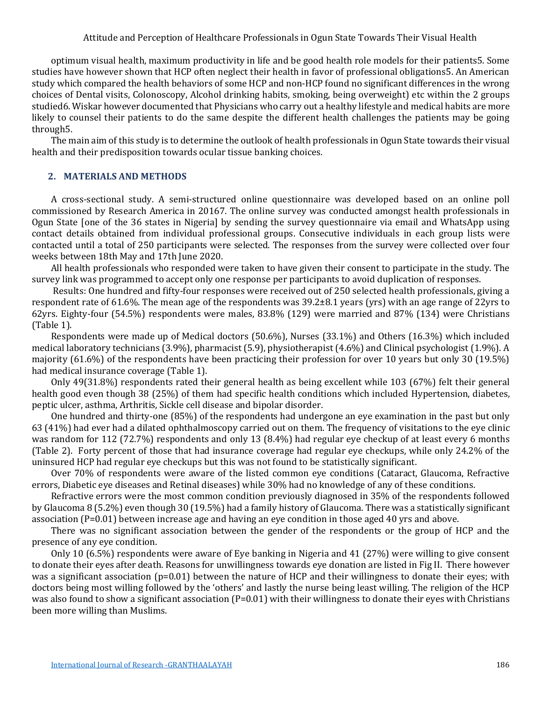Attitude and Perception of Healthcare Professionals in Ogun State Towards Their Visual Health

optimum visual health, maximum productivity in life and be good health role models for their patients5. Some studies have however shown that HCP often neglect their health in favor of professional obligations5. An American study which compared the health behaviors of some HCP and non-HCP found no significant differences in the wrong choices of Dental visits, Colonoscopy, Alcohol drinking habits, smoking, being overweight) etc within the 2 groups studied6. Wiskar however documented that Physicians who carry out a healthy lifestyle and medical habits are more likely to counsel their patients to do the same despite the different health challenges the patients may be going through5.

The main aim of this study is to determine the outlook of health professionals in Ogun State towards their visual health and their predisposition towards ocular tissue banking choices.

# **2. MATERIALS AND METHODS**

A cross-sectional study. A semi-structured online questionnaire was developed based on an online poll commissioned by Research America in 20167. The online survey was conducted amongst health professionals in Ogun State [one of the 36 states in Nigeria] by sending the survey questionnaire via email and WhatsApp using contact details obtained from individual professional groups. Consecutive individuals in each group lists were contacted until a total of 250 participants were selected. The responses from the survey were collected over four weeks between 18th May and 17th June 2020.

All health professionals who responded were taken to have given their consent to participate in the study. The survey link was programmed to accept only one response per participants to avoid duplication of responses.

Results: One hundred and fifty-four responses were received out of 250 selected health professionals, giving a respondent rate of 61.6%. The mean age of the respondents was 39.2±8.1 years (yrs) with an age range of 22yrs to 62yrs. Eighty-four (54.5%) respondents were males, 83.8% (129) were married and 87% (134) were Christians (Table 1).

Respondents were made up of Medical doctors (50.6%), Nurses (33.1%) and Others (16.3%) which included medical laboratory technicians (3.9%), pharmacist (5.9), physiotherapist (4.6%) and Clinical psychologist (1.9%). A majority (61.6%) of the respondents have been practicing their profession for over 10 years but only 30 (19.5%) had medical insurance coverage (Table 1).

Only 49(31.8%) respondents rated their general health as being excellent while 103 (67%) felt their general health good even though 38 (25%) of them had specific health conditions which included Hypertension, diabetes, peptic ulcer, asthma, Arthritis, Sickle cell disease and bipolar disorder.

One hundred and thirty-one (85%) of the respondents had undergone an eye examination in the past but only 63 (41%) had ever had a dilated ophthalmoscopy carried out on them. The frequency of visitations to the eye clinic was random for 112 (72.7%) respondents and only 13 (8.4%) had regular eye checkup of at least every 6 months (Table 2). Forty percent of those that had insurance coverage had regular eye checkups, while only 24.2% of the uninsured HCP had regular eye checkups but this was not found to be statistically significant.

Over 70% of respondents were aware of the listed common eye conditions (Cataract, Glaucoma, Refractive errors, Diabetic eye diseases and Retinal diseases) while 30% had no knowledge of any of these conditions.

Refractive errors were the most common condition previously diagnosed in 35% of the respondents followed by Glaucoma 8 (5.2%) even though 30 (19.5%) had a family history of Glaucoma. There was a statistically significant association (P=0.01) between increase age and having an eye condition in those aged 40 yrs and above.

There was no significant association between the gender of the respondents or the group of HCP and the presence of any eye condition.

Only 10 (6.5%) respondents were aware of Eye banking in Nigeria and 41 (27%) were willing to give consent to donate their eyes after death. Reasons for unwillingness towards eye donation are listed in Fig II. There however was a significant association (p=0.01) between the nature of HCP and their willingness to donate their eyes; with doctors being most willing followed by the 'others' and lastly the nurse being least willing. The religion of the HCP was also found to show a significant association (P=0.01) with their willingness to donate their eyes with Christians been more willing than Muslims.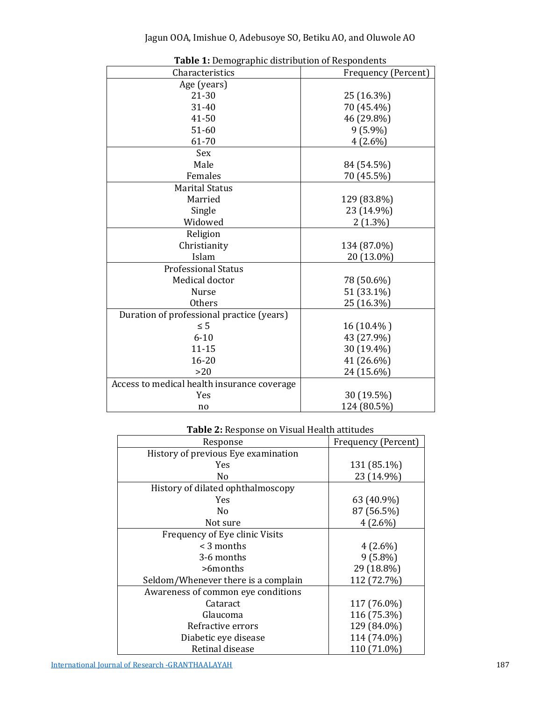| Characteristics                             | Frequency (Percent) |
|---------------------------------------------|---------------------|
| Age (years)                                 |                     |
| $21 - 30$                                   | 25 (16.3%)          |
| 31-40                                       | 70 (45.4%)          |
| 41-50                                       | 46 (29.8%)          |
| $51 - 60$                                   | $9(5.9\%)$          |
| 61-70                                       | $4(2.6\%)$          |
| Sex                                         |                     |
| Male                                        | 84 (54.5%)          |
| Females                                     | 70 (45.5%)          |
| <b>Marital Status</b>                       |                     |
| Married                                     | 129 (83.8%)         |
| Single                                      | 23 (14.9%)          |
| Widowed                                     | $2(1.3\%)$          |
| Religion                                    |                     |
| Christianity                                | 134 (87.0%)         |
| Islam                                       | 20 (13.0%)          |
| <b>Professional Status</b>                  |                     |
| Medical doctor                              | 78 (50.6%)          |
| Nurse                                       | 51 (33.1%)          |
| <b>Others</b>                               | 25 (16.3%)          |
| Duration of professional practice (years)   |                     |
| $\leq 5$                                    | 16 (10.4%)          |
| $6 - 10$                                    | 43 (27.9%)          |
| $11 - 15$                                   | 30 (19.4%)          |
| $16 - 20$                                   | 41 (26.6%)          |
| >20                                         | 24 (15.6%)          |
| Access to medical health insurance coverage |                     |
| Yes                                         | 30 (19.5%)          |
| no                                          | 124 (80.5%)         |

**Table 1:** Demographic distribution of Respondents

# **Table 2:** Response on Visual Health attitudes

| Response                            | Frequency (Percent) |
|-------------------------------------|---------------------|
| History of previous Eye examination |                     |
| <b>Yes</b>                          | 131 (85.1%)         |
| No                                  | 23 (14.9%)          |
| History of dilated ophthalmoscopy   |                     |
| Yes.                                | 63 (40.9%)          |
| N <sub>0</sub>                      | 87 (56.5%)          |
| Not sure                            | $4(2.6\%)$          |
| Frequency of Eye clinic Visits      |                     |
| $\leq$ 3 months                     | $4(2.6\%)$          |
| 3-6 months                          | $9(5.8\%)$          |
| $>$ fmonths                         | 29 (18.8%)          |
| Seldom/Whenever there is a complain | 112 (72.7%)         |
| Awareness of common eye conditions  |                     |
| Cataract                            | 117 (76.0%)         |
| Glaucoma                            | 116 (75.3%)         |
| Refractive errors                   | 129 (84.0%)         |
| Diabetic eye disease                | 114 (74.0%)         |
| Retinal disease                     | 110 (71.0%)         |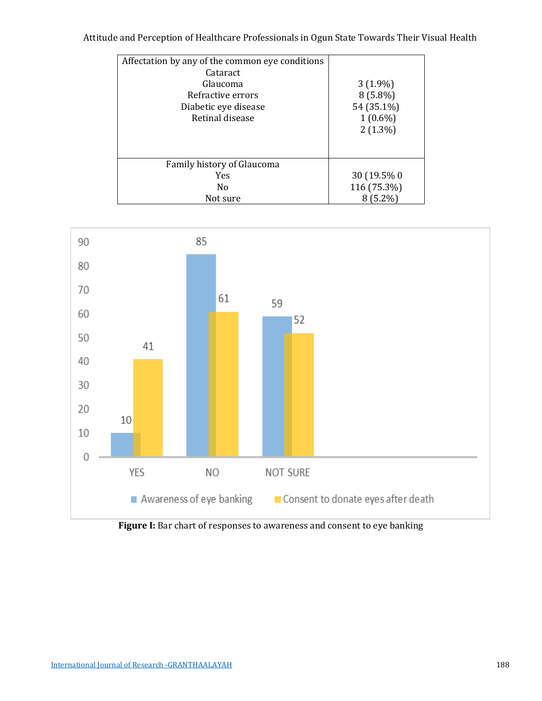Attitude and Perception of Healthcare Professionals in Ogun State Towards Their Visual Health

| Affectation by any of the common eye conditions<br>Cataract<br>Glaucoma<br>Refractive errors<br>Diabetic eye disease<br>Retinal disease | $3(1.9\%)$<br>$8(5.8\%)$<br>54 (35.1%)<br>$1(0.6\%)$<br>$2(1.3\%)$ |
|-----------------------------------------------------------------------------------------------------------------------------------------|--------------------------------------------------------------------|
| Family history of Glaucoma                                                                                                              |                                                                    |
| Yes                                                                                                                                     | 30 (19.5% 0)                                                       |
| No                                                                                                                                      | 116 (75.3%)                                                        |
| Not sure                                                                                                                                | $(5.2\%)$                                                          |



**Figure I:** Bar chart of responses to awareness and consent to eye banking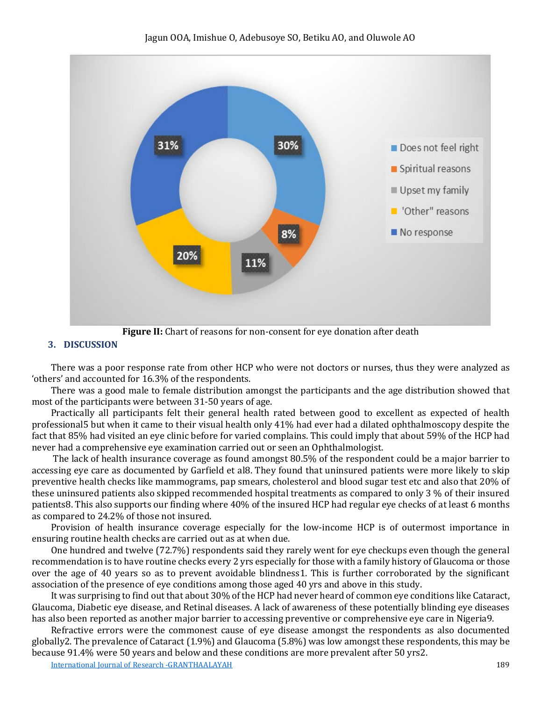

**Figure II:** Chart of reasons for non-consent for eye donation after death

# **3. DISCUSSION**

There was a poor response rate from other HCP who were not doctors or nurses, thus they were analyzed as 'others' and accounted for 16.3% of the respondents.

There was a good male to female distribution amongst the participants and the age distribution showed that most of the participants were between 31-50 years of age.

Practically all participants felt their general health rated between good to excellent as expected of health professional5 but when it came to their visual health only 41% had ever had a dilated ophthalmoscopy despite the fact that 85% had visited an eye clinic before for varied complains. This could imply that about 59% of the HCP had never had a comprehensive eye examination carried out or seen an Ophthalmologist.

The lack of health insurance coverage as found amongst 80.5% of the respondent could be a major barrier to accessing eye care as documented by Garfield et al8. They found that uninsured patients were more likely to skip preventive health checks like mammograms, pap smears, cholesterol and blood sugar test etc and also that 20% of these uninsured patients also skipped recommended hospital treatments as compared to only 3 % of their insured patients8. This also supports our finding where 40% of the insured HCP had regular eye checks of at least 6 months as compared to 24.2% of those not insured.

Provision of health insurance coverage especially for the low-income HCP is of outermost importance in ensuring routine health checks are carried out as at when due.

One hundred and twelve (72.7%) respondents said they rarely went for eye checkups even though the general recommendation is to have routine checks every 2 yrs especially for those with a family history of Glaucoma or those over the age of 40 years so as to prevent avoidable blindness1. This is further corroborated by the significant association of the presence of eye conditions among those aged 40 yrs and above in this study.

It was surprising to find out that about 30% of the HCP had never heard of common eye conditions like Cataract, Glaucoma, Diabetic eye disease, and Retinal diseases. A lack of awareness of these potentially blinding eye diseases has also been reported as another major barrier to accessing preventive or comprehensive eye care in Nigeria9.

Refractive errors were the commonest cause of eye disease amongst the respondents as also documented globally2. The prevalence of Cataract (1.9%) and Glaucoma (5.8%) was low amongst these respondents, this may be because 91.4% were 50 years and below and these conditions are more prevalent after 50 yrs2.

[International Journal of Research -GRANTHAALAYAH](https://www.granthaalayahpublication.org/journals/index.php/Granthaalayah/) 189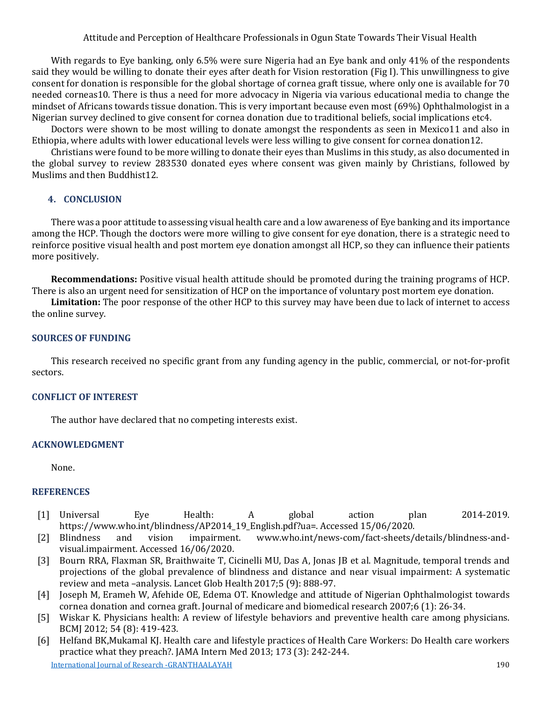Attitude and Perception of Healthcare Professionals in Ogun State Towards Their Visual Health

With regards to Eye banking, only 6.5% were sure Nigeria had an Eye bank and only 41% of the respondents said they would be willing to donate their eyes after death for Vision restoration (Fig I). This unwillingness to give consent for donation is responsible for the global shortage of cornea graft tissue, where only one is available for 70 needed corneas10. There is thus a need for more advocacy in Nigeria via various educational media to change the mindset of Africans towards tissue donation. This is very important because even most (69%) Ophthalmologist in a Nigerian survey declined to give consent for cornea donation due to traditional beliefs, social implications etc4.

Doctors were shown to be most willing to donate amongst the respondents as seen in Mexico11 and also in Ethiopia, where adults with lower educational levels were less willing to give consent for cornea donation12.

Christians were found to be more willing to donate their eyes than Muslims in this study, as also documented in the global survey to review 283530 donated eyes where consent was given mainly by Christians, followed by Muslims and then Buddhist12.

## **4. CONCLUSION**

There was a poor attitude to assessing visual health care and a low awareness of Eye banking and its importance among the HCP. Though the doctors were more willing to give consent for eye donation, there is a strategic need to reinforce positive visual health and post mortem eye donation amongst all HCP, so they can influence their patients more positively.

**Recommendations:** Positive visual health attitude should be promoted during the training programs of HCP. There is also an urgent need for sensitization of HCP on the importance of voluntary post mortem eye donation.

**Limitation:** The poor response of the other HCP to this survey may have been due to lack of internet to access the online survey.

#### **SOURCES OF FUNDING**

This research received no specific grant from any funding agency in the public, commercial, or not-for-profit sectors.

#### **CONFLICT OF INTEREST**

The author have declared that no competing interests exist.

### **ACKNOWLEDGMENT**

None.

#### **REFERENCES**

- [1] Universal Eye Health: A global action plan 2014-2019. https://www.who.int/blindness/AP2014\_19\_English.pdf?ua=. Accessed 15/06/2020.
- [2] Blindness and vision impairment. www.who.int/news-com/fact-sheets/details/blindness-andvisual.impairment. Accessed 16/06/2020.
- [3] Bourn RRA, Flaxman SR, Braithwaite T, Cicinelli MU, Das A, Jonas JB et al. Magnitude, temporal trends and projections of the global prevalence of blindness and distance and near visual impairment: A systematic review and meta –analysis. Lancet Glob Health 2017;5 (9): 888-97.
- [4] Joseph M, Erameh W, Afehide OE, Edema OT. Knowledge and attitude of Nigerian Ophthalmologist towards cornea donation and cornea graft. Journal of medicare and biomedical research 2007;6 (1): 26-34.
- [5] Wiskar K. Physicians health: A review of lifestyle behaviors and preventive health care among physicians. BCMJ 2012; 54 (8): 419-423.
- [International Journal of Research -GRANTHAALAYAH](https://www.granthaalayahpublication.org/journals/index.php/Granthaalayah/) 190 [6] Helfand BK,Mukamal KJ. Health care and lifestyle practices of Health Care Workers: Do Health care workers practice what they preach?. JAMA Intern Med 2013; 173 (3): 242-244.